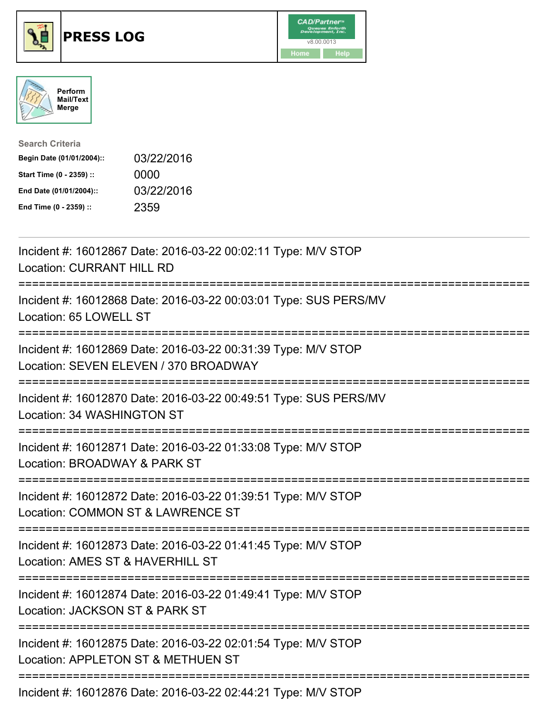





| <b>Search Criteria</b>    |            |
|---------------------------|------------|
| Begin Date (01/01/2004):: | 03/22/2016 |
| Start Time (0 - 2359) ::  | 0000       |
| End Date (01/01/2004)::   | 03/22/2016 |
| End Time (0 - 2359) ::    | 2359       |

| Incident #: 16012867 Date: 2016-03-22 00:02:11 Type: M/V STOP<br><b>Location: CURRANT HILL RD</b>                                                    |
|------------------------------------------------------------------------------------------------------------------------------------------------------|
| Incident #: 16012868 Date: 2016-03-22 00:03:01 Type: SUS PERS/MV<br>Location: 65 LOWELL ST<br>;=================                                     |
| Incident #: 16012869 Date: 2016-03-22 00:31:39 Type: M/V STOP<br>Location: SEVEN ELEVEN / 370 BROADWAY<br>====================                       |
| Incident #: 16012870 Date: 2016-03-22 00:49:51 Type: SUS PERS/MV<br>Location: 34 WASHINGTON ST<br>:================                                  |
| Incident #: 16012871 Date: 2016-03-22 01:33:08 Type: M/V STOP<br>Location: BROADWAY & PARK ST                                                        |
| Incident #: 16012872 Date: 2016-03-22 01:39:51 Type: M/V STOP<br>Location: COMMON ST & LAWRENCE ST<br>-------------<br>============================= |
| Incident #: 16012873 Date: 2016-03-22 01:41:45 Type: M/V STOP<br>Location: AMES ST & HAVERHILL ST                                                    |
| Incident #: 16012874 Date: 2016-03-22 01:49:41 Type: M/V STOP<br>Location: JACKSON ST & PARK ST                                                      |
| Incident #: 16012875 Date: 2016-03-22 02:01:54 Type: M/V STOP<br>Location: APPLETON ST & METHUEN ST                                                  |
| Incident #: 16012876 Date: 2016-03-22 02:44:21 Type: M/V STOP                                                                                        |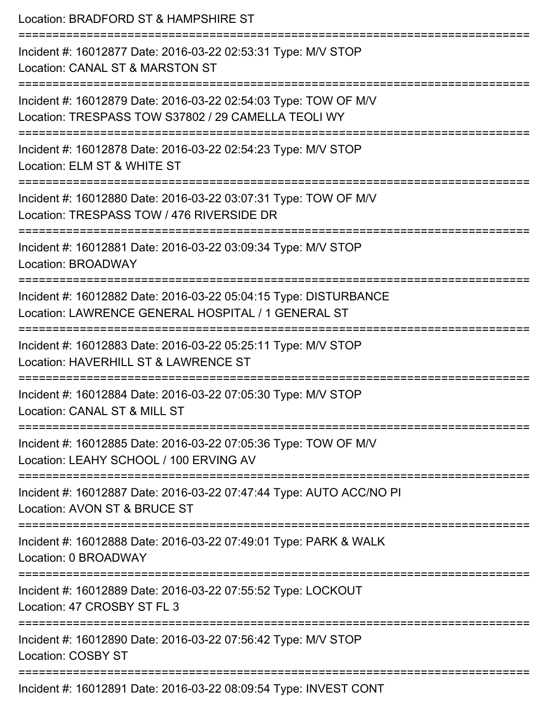| Location: BRADFORD ST & HAMPSHIRE ST                                                                                   |
|------------------------------------------------------------------------------------------------------------------------|
| Incident #: 16012877 Date: 2016-03-22 02:53:31 Type: M/V STOP<br>Location: CANAL ST & MARSTON ST                       |
| Incident #: 16012879 Date: 2016-03-22 02:54:03 Type: TOW OF M/V<br>Location: TRESPASS TOW S37802 / 29 CAMELLA TEOLI WY |
| Incident #: 16012878 Date: 2016-03-22 02:54:23 Type: M/V STOP<br>Location: ELM ST & WHITE ST                           |
| Incident #: 16012880 Date: 2016-03-22 03:07:31 Type: TOW OF M/V<br>Location: TRESPASS TOW / 476 RIVERSIDE DR           |
| Incident #: 16012881 Date: 2016-03-22 03:09:34 Type: M/V STOP<br><b>Location: BROADWAY</b>                             |
| Incident #: 16012882 Date: 2016-03-22 05:04:15 Type: DISTURBANCE<br>Location: LAWRENCE GENERAL HOSPITAL / 1 GENERAL ST |
| Incident #: 16012883 Date: 2016-03-22 05:25:11 Type: M/V STOP<br>Location: HAVERHILL ST & LAWRENCE ST                  |
| Incident #: 16012884 Date: 2016-03-22 07:05:30 Type: M/V STOP<br>Location: CANAL ST & MILL ST                          |
| Incident #: 16012885 Date: 2016-03-22 07:05:36 Type: TOW OF M/V<br>Location: LEAHY SCHOOL / 100 ERVING AV              |
| Incident #: 16012887 Date: 2016-03-22 07:47:44 Type: AUTO ACC/NO PI<br>Location: AVON ST & BRUCE ST                    |
| Incident #: 16012888 Date: 2016-03-22 07:49:01 Type: PARK & WALK<br>Location: 0 BROADWAY                               |
| Incident #: 16012889 Date: 2016-03-22 07:55:52 Type: LOCKOUT<br>Location: 47 CROSBY ST FL 3                            |
| Incident #: 16012890 Date: 2016-03-22 07:56:42 Type: M/V STOP<br>Location: COSBY ST                                    |
| Incident #: 16012891 Date: 2016-03-22 08:09:54 Type: INVEST CONT                                                       |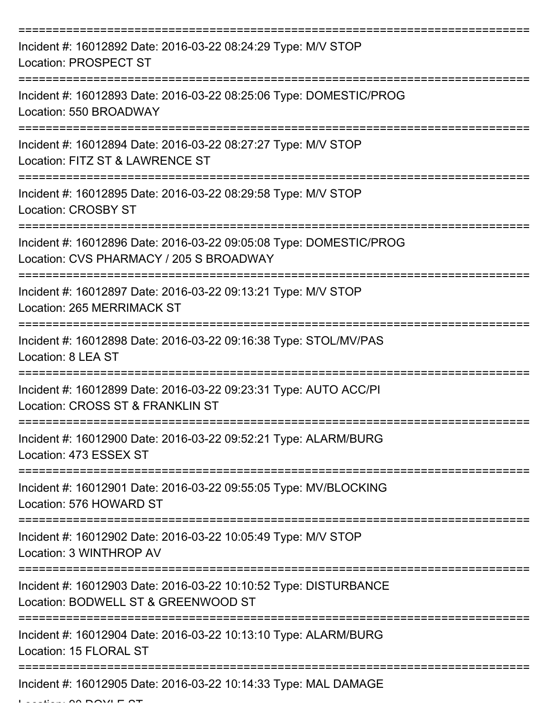| Incident #: 16012892 Date: 2016-03-22 08:24:29 Type: M/V STOP<br><b>Location: PROSPECT ST</b>                                       |
|-------------------------------------------------------------------------------------------------------------------------------------|
| Incident #: 16012893 Date: 2016-03-22 08:25:06 Type: DOMESTIC/PROG<br>Location: 550 BROADWAY                                        |
| Incident #: 16012894 Date: 2016-03-22 08:27:27 Type: M/V STOP<br>Location: FITZ ST & LAWRENCE ST                                    |
| Incident #: 16012895 Date: 2016-03-22 08:29:58 Type: M/V STOP<br><b>Location: CROSBY ST</b>                                         |
| Incident #: 16012896 Date: 2016-03-22 09:05:08 Type: DOMESTIC/PROG<br>Location: CVS PHARMACY / 205 S BROADWAY<br>================== |
| Incident #: 16012897 Date: 2016-03-22 09:13:21 Type: M/V STOP<br>Location: 265 MERRIMACK ST                                         |
| Incident #: 16012898 Date: 2016-03-22 09:16:38 Type: STOL/MV/PAS<br>Location: 8 LEA ST                                              |
| Incident #: 16012899 Date: 2016-03-22 09:23:31 Type: AUTO ACC/PI<br>Location: CROSS ST & FRANKLIN ST                                |
| Incident #: 16012900 Date: 2016-03-22 09:52:21 Type: ALARM/BURG<br>Location: 473 ESSEX ST                                           |
| Incident #: 16012901 Date: 2016-03-22 09:55:05 Type: MV/BLOCKING<br>Location: 576 HOWARD ST                                         |
| Incident #: 16012902 Date: 2016-03-22 10:05:49 Type: M/V STOP<br>Location: 3 WINTHROP AV                                            |
| Incident #: 16012903 Date: 2016-03-22 10:10:52 Type: DISTURBANCE<br>Location: BODWELL ST & GREENWOOD ST                             |
| Incident #: 16012904 Date: 2016-03-22 10:13:10 Type: ALARM/BURG<br>Location: 15 FLORAL ST                                           |
| Incident #: 16012905 Date: 2016-03-22 10:14:33 Type: MAL DAMAGE                                                                     |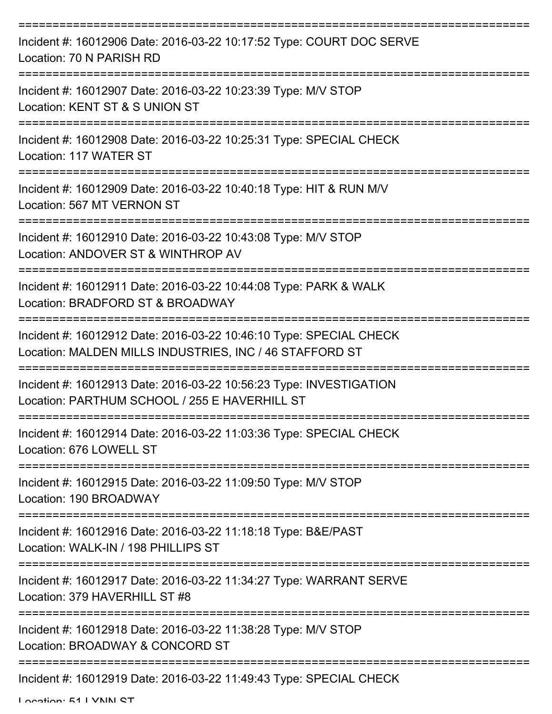| Incident #: 16012906 Date: 2016-03-22 10:17:52 Type: COURT DOC SERVE<br>Location: 70 N PARISH RD                              |
|-------------------------------------------------------------------------------------------------------------------------------|
| Incident #: 16012907 Date: 2016-03-22 10:23:39 Type: M/V STOP<br>Location: KENT ST & S UNION ST                               |
| Incident #: 16012908 Date: 2016-03-22 10:25:31 Type: SPECIAL CHECK<br>Location: 117 WATER ST                                  |
| Incident #: 16012909 Date: 2016-03-22 10:40:18 Type: HIT & RUN M/V<br>Location: 567 MT VERNON ST                              |
| Incident #: 16012910 Date: 2016-03-22 10:43:08 Type: M/V STOP<br>Location: ANDOVER ST & WINTHROP AV                           |
| Incident #: 16012911 Date: 2016-03-22 10:44:08 Type: PARK & WALK<br>Location: BRADFORD ST & BROADWAY                          |
| Incident #: 16012912 Date: 2016-03-22 10:46:10 Type: SPECIAL CHECK<br>Location: MALDEN MILLS INDUSTRIES, INC / 46 STAFFORD ST |
| Incident #: 16012913 Date: 2016-03-22 10:56:23 Type: INVESTIGATION<br>Location: PARTHUM SCHOOL / 255 E HAVERHILL ST           |
| Incident #: 16012914 Date: 2016-03-22 11:03:36 Type: SPECIAL CHECK<br>Location: 676 LOWELL ST                                 |
| Incident #: 16012915 Date: 2016-03-22 11:09:50 Type: M/V STOP<br>Location: 190 BROADWAY                                       |
| Incident #: 16012916 Date: 2016-03-22 11:18:18 Type: B&E/PAST<br>Location: WALK-IN / 198 PHILLIPS ST                          |
| Incident #: 16012917 Date: 2016-03-22 11:34:27 Type: WARRANT SERVE<br>Location: 379 HAVERHILL ST #8                           |
| Incident #: 16012918 Date: 2016-03-22 11:38:28 Type: M/V STOP<br>Location: BROADWAY & CONCORD ST                              |
| Incident #: 16012919 Date: 2016-03-22 11:49:43 Type: SPECIAL CHECK                                                            |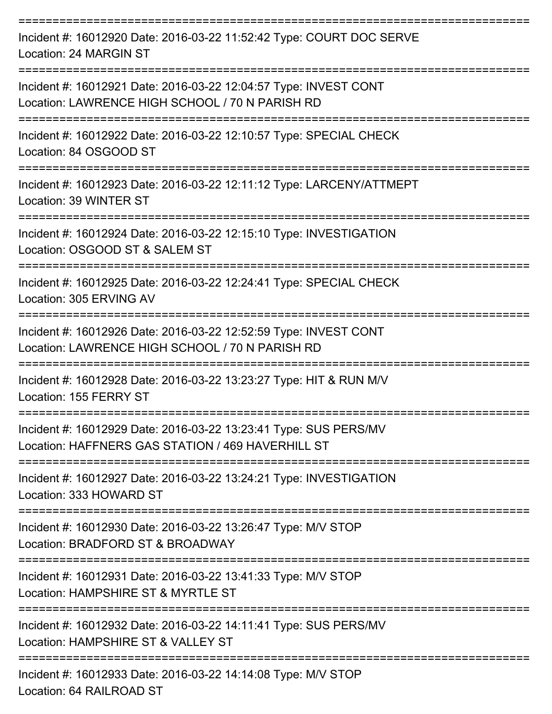| Incident #: 16012920 Date: 2016-03-22 11:52:42 Type: COURT DOC SERVE<br>Location: 24 MARGIN ST                        |
|-----------------------------------------------------------------------------------------------------------------------|
| Incident #: 16012921 Date: 2016-03-22 12:04:57 Type: INVEST CONT<br>Location: LAWRENCE HIGH SCHOOL / 70 N PARISH RD   |
| Incident #: 16012922 Date: 2016-03-22 12:10:57 Type: SPECIAL CHECK<br>Location: 84 OSGOOD ST                          |
| Incident #: 16012923 Date: 2016-03-22 12:11:12 Type: LARCENY/ATTMEPT<br>Location: 39 WINTER ST                        |
| Incident #: 16012924 Date: 2016-03-22 12:15:10 Type: INVESTIGATION<br>Location: OSGOOD ST & SALEM ST                  |
| Incident #: 16012925 Date: 2016-03-22 12:24:41 Type: SPECIAL CHECK<br>Location: 305 ERVING AV                         |
| Incident #: 16012926 Date: 2016-03-22 12:52:59 Type: INVEST CONT<br>Location: LAWRENCE HIGH SCHOOL / 70 N PARISH RD   |
| Incident #: 16012928 Date: 2016-03-22 13:23:27 Type: HIT & RUN M/V<br>Location: 155 FERRY ST                          |
| Incident #: 16012929 Date: 2016-03-22 13:23:41 Type: SUS PERS/MV<br>Location: HAFFNERS GAS STATION / 469 HAVERHILL ST |
| Incident #: 16012927 Date: 2016-03-22 13:24:21 Type: INVESTIGATION<br>Location: 333 HOWARD ST                         |
| Incident #: 16012930 Date: 2016-03-22 13:26:47 Type: M/V STOP<br>Location: BRADFORD ST & BROADWAY                     |
| Incident #: 16012931 Date: 2016-03-22 13:41:33 Type: M/V STOP<br>Location: HAMPSHIRE ST & MYRTLE ST                   |
| Incident #: 16012932 Date: 2016-03-22 14:11:41 Type: SUS PERS/MV<br>Location: HAMPSHIRE ST & VALLEY ST                |
| Incident #: 16012933 Date: 2016-03-22 14:14:08 Type: M/V STOP                                                         |

Location: 64 RAILROAD ST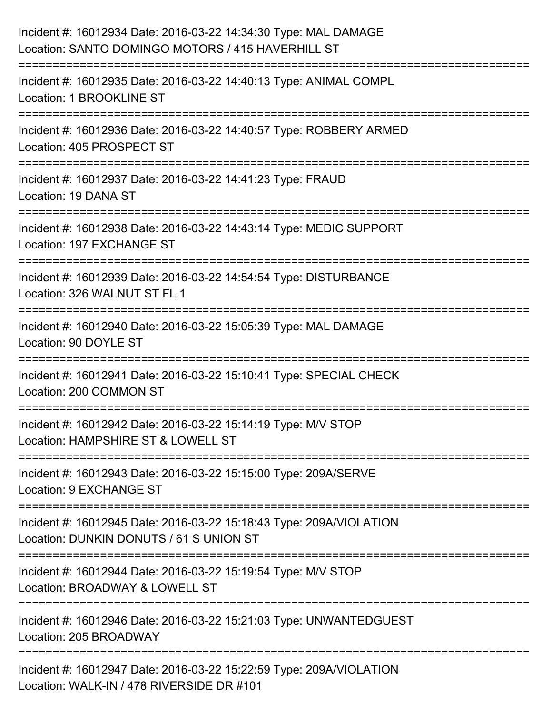| Incident #: 16012934 Date: 2016-03-22 14:34:30 Type: MAL DAMAGE<br>Location: SANTO DOMINGO MOTORS / 415 HAVERHILL ST                                                   |
|------------------------------------------------------------------------------------------------------------------------------------------------------------------------|
| ===============================<br>Incident #: 16012935 Date: 2016-03-22 14:40:13 Type: ANIMAL COMPL<br>Location: 1 BROOKLINE ST                                       |
| Incident #: 16012936 Date: 2016-03-22 14:40:57 Type: ROBBERY ARMED<br>Location: 405 PROSPECT ST<br>====================================<br>--------------------------- |
| Incident #: 16012937 Date: 2016-03-22 14:41:23 Type: FRAUD<br>Location: 19 DANA ST                                                                                     |
| Incident #: 16012938 Date: 2016-03-22 14:43:14 Type: MEDIC SUPPORT<br>Location: 197 EXCHANGE ST                                                                        |
| Incident #: 16012939 Date: 2016-03-22 14:54:54 Type: DISTURBANCE<br>Location: 326 WALNUT ST FL 1<br>:====================                                              |
| Incident #: 16012940 Date: 2016-03-22 15:05:39 Type: MAL DAMAGE<br>Location: 90 DOYLE ST                                                                               |
| Incident #: 16012941 Date: 2016-03-22 15:10:41 Type: SPECIAL CHECK<br>Location: 200 COMMON ST                                                                          |
| Incident #: 16012942 Date: 2016-03-22 15:14:19 Type: M/V STOP<br>Location: HAMPSHIRE ST & LOWELL ST                                                                    |
| Incident #: 16012943 Date: 2016-03-22 15:15:00 Type: 209A/SERVE<br>Location: 9 EXCHANGE ST                                                                             |
| Incident #: 16012945 Date: 2016-03-22 15:18:43 Type: 209A/VIOLATION<br>Location: DUNKIN DONUTS / 61 S UNION ST                                                         |
| Incident #: 16012944 Date: 2016-03-22 15:19:54 Type: M/V STOP<br>Location: BROADWAY & LOWELL ST                                                                        |
| Incident #: 16012946 Date: 2016-03-22 15:21:03 Type: UNWANTEDGUEST<br>Location: 205 BROADWAY                                                                           |
| Incident #: 16012947 Date: 2016-03-22 15:22:59 Type: 209A/VIOLATION<br>Location: WALK-IN / 478 RIVERSIDE DR #101                                                       |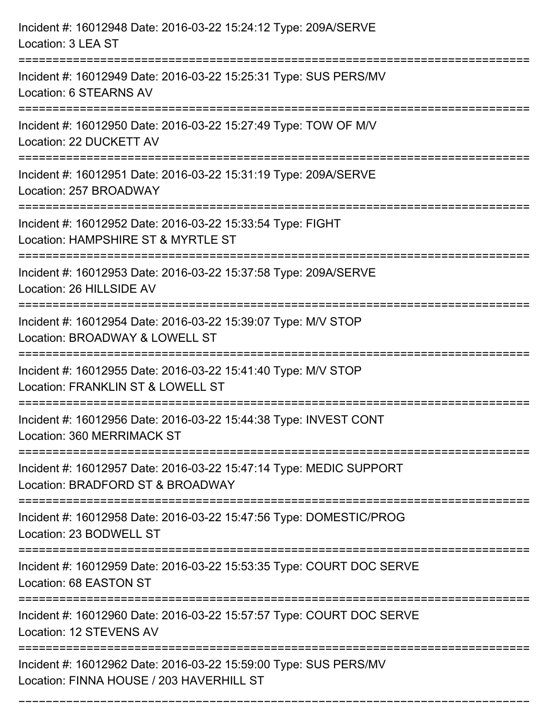| Incident #: 16012948 Date: 2016-03-22 15:24:12 Type: 209A/SERVE<br>Location: 3 LEA ST                               |
|---------------------------------------------------------------------------------------------------------------------|
| Incident #: 16012949 Date: 2016-03-22 15:25:31 Type: SUS PERS/MV<br>Location: 6 STEARNS AV                          |
| Incident #: 16012950 Date: 2016-03-22 15:27:49 Type: TOW OF M/V<br>Location: 22 DUCKETT AV                          |
| Incident #: 16012951 Date: 2016-03-22 15:31:19 Type: 209A/SERVE<br>Location: 257 BROADWAY                           |
| Incident #: 16012952 Date: 2016-03-22 15:33:54 Type: FIGHT<br>Location: HAMPSHIRE ST & MYRTLE ST<br>=============== |
| Incident #: 16012953 Date: 2016-03-22 15:37:58 Type: 209A/SERVE<br>Location: 26 HILLSIDE AV                         |
| Incident #: 16012954 Date: 2016-03-22 15:39:07 Type: M/V STOP<br>Location: BROADWAY & LOWELL ST                     |
| Incident #: 16012955 Date: 2016-03-22 15:41:40 Type: M/V STOP<br>Location: FRANKLIN ST & LOWELL ST                  |
| Incident #: 16012956 Date: 2016-03-22 15:44:38 Type: INVEST CONT<br>Location: 360 MERRIMACK ST                      |
| Incident #: 16012957 Date: 2016-03-22 15:47:14 Type: MEDIC SUPPORT<br>Location: BRADFORD ST & BROADWAY              |
| Incident #: 16012958 Date: 2016-03-22 15:47:56 Type: DOMESTIC/PROG<br>Location: 23 BODWELL ST                       |
| Incident #: 16012959 Date: 2016-03-22 15:53:35 Type: COURT DOC SERVE<br>Location: 68 EASTON ST                      |
| Incident #: 16012960 Date: 2016-03-22 15:57:57 Type: COURT DOC SERVE<br>Location: 12 STEVENS AV                     |
| Incident #: 16012962 Date: 2016-03-22 15:59:00 Type: SUS PERS/MV<br>Location: FINNA HOUSE / 203 HAVERHILL ST        |

===========================================================================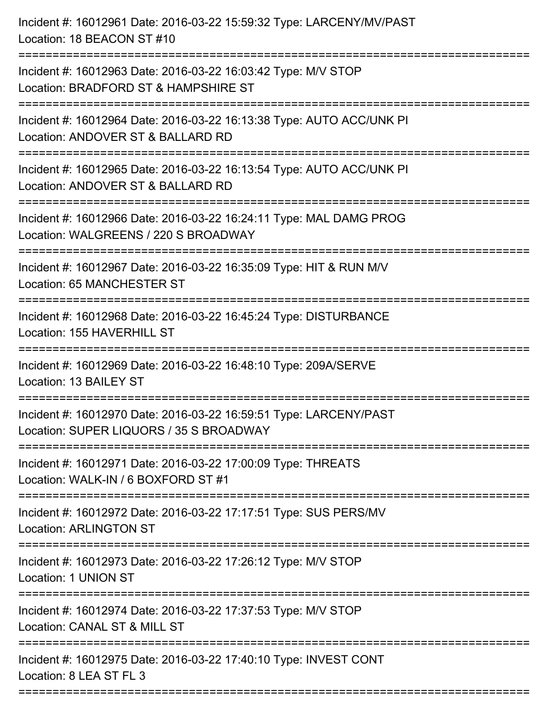| Incident #: 16012961 Date: 2016-03-22 15:59:32 Type: LARCENY/MV/PAST<br>Location: 18 BEACON ST #10                                       |
|------------------------------------------------------------------------------------------------------------------------------------------|
| Incident #: 16012963 Date: 2016-03-22 16:03:42 Type: M/V STOP<br>Location: BRADFORD ST & HAMPSHIRE ST                                    |
| Incident #: 16012964 Date: 2016-03-22 16:13:38 Type: AUTO ACC/UNK PI<br>Location: ANDOVER ST & BALLARD RD<br>=========================== |
| Incident #: 16012965 Date: 2016-03-22 16:13:54 Type: AUTO ACC/UNK PI<br>Location: ANDOVER ST & BALLARD RD                                |
| Incident #: 16012966 Date: 2016-03-22 16:24:11 Type: MAL DAMG PROG<br>Location: WALGREENS / 220 S BROADWAY<br>:========================= |
| Incident #: 16012967 Date: 2016-03-22 16:35:09 Type: HIT & RUN M/V<br>Location: 65 MANCHESTER ST                                         |
| Incident #: 16012968 Date: 2016-03-22 16:45:24 Type: DISTURBANCE<br>Location: 155 HAVERHILL ST                                           |
| Incident #: 16012969 Date: 2016-03-22 16:48:10 Type: 209A/SERVE<br>Location: 13 BAILEY ST                                                |
| Incident #: 16012970 Date: 2016-03-22 16:59:51 Type: LARCENY/PAST<br>Location: SUPER LIQUORS / 35 S BROADWAY                             |
| Incident #: 16012971 Date: 2016-03-22 17:00:09 Type: THREATS<br>Location: WALK-IN / 6 BOXFORD ST #1                                      |
| Incident #: 16012972 Date: 2016-03-22 17:17:51 Type: SUS PERS/MV<br><b>Location: ARLINGTON ST</b>                                        |
| Incident #: 16012973 Date: 2016-03-22 17:26:12 Type: M/V STOP<br>Location: 1 UNION ST                                                    |
| Incident #: 16012974 Date: 2016-03-22 17:37:53 Type: M/V STOP<br>Location: CANAL ST & MILL ST                                            |
| Incident #: 16012975 Date: 2016-03-22 17:40:10 Type: INVEST CONT<br>Location: 8 LEA ST FL 3                                              |
|                                                                                                                                          |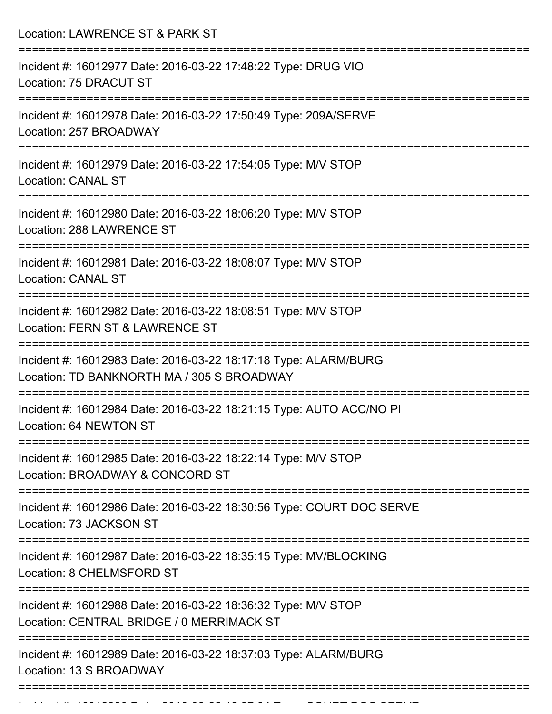| Location: LAWRENCE ST & PARK ST                                                                               |
|---------------------------------------------------------------------------------------------------------------|
| Incident #: 16012977 Date: 2016-03-22 17:48:22 Type: DRUG VIO<br>Location: 75 DRACUT ST                       |
| Incident #: 16012978 Date: 2016-03-22 17:50:49 Type: 209A/SERVE<br>Location: 257 BROADWAY                     |
| Incident #: 16012979 Date: 2016-03-22 17:54:05 Type: M/V STOP<br><b>Location: CANAL ST</b>                    |
| Incident #: 16012980 Date: 2016-03-22 18:06:20 Type: M/V STOP<br>Location: 288 LAWRENCE ST                    |
| Incident #: 16012981 Date: 2016-03-22 18:08:07 Type: M/V STOP<br><b>Location: CANAL ST</b>                    |
| Incident #: 16012982 Date: 2016-03-22 18:08:51 Type: M/V STOP<br>Location: FERN ST & LAWRENCE ST              |
| Incident #: 16012983 Date: 2016-03-22 18:17:18 Type: ALARM/BURG<br>Location: TD BANKNORTH MA / 305 S BROADWAY |
| Incident #: 16012984 Date: 2016-03-22 18:21:15 Type: AUTO ACC/NO PI<br>Location: 64 NEWTON ST                 |
| Incident #: 16012985 Date: 2016-03-22 18:22:14 Type: M/V STOP<br>Location: BROADWAY & CONCORD ST              |
| Incident #: 16012986 Date: 2016-03-22 18:30:56 Type: COURT DOC SERVE<br>Location: 73 JACKSON ST               |
| Incident #: 16012987 Date: 2016-03-22 18:35:15 Type: MV/BLOCKING<br>Location: 8 CHELMSFORD ST                 |
| Incident #: 16012988 Date: 2016-03-22 18:36:32 Type: M/V STOP<br>Location: CENTRAL BRIDGE / 0 MERRIMACK ST    |
| Incident #: 16012989 Date: 2016-03-22 18:37:03 Type: ALARM/BURG<br>Location: 13 S BROADWAY                    |

Incident #: 16012990 Date: 2016 03 22 18:37:34 Type: COURT DOC SERVE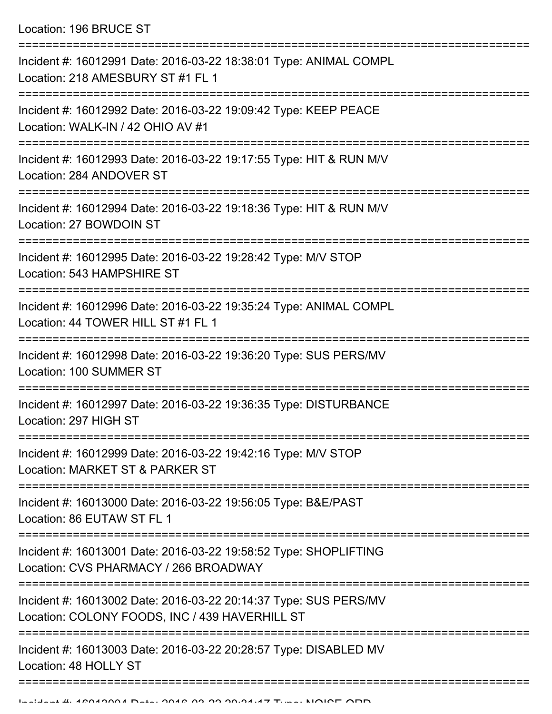| Incident #: 16012991 Date: 2016-03-22 18:38:01 Type: ANIMAL COMPL<br>Location: 218 AMESBURY ST #1 FL 1                    |
|---------------------------------------------------------------------------------------------------------------------------|
| Incident #: 16012992 Date: 2016-03-22 19:09:42 Type: KEEP PEACE<br>Location: WALK-IN / 42 OHIO AV #1                      |
| Incident #: 16012993 Date: 2016-03-22 19:17:55 Type: HIT & RUN M/V<br>Location: 284 ANDOVER ST                            |
| Incident #: 16012994 Date: 2016-03-22 19:18:36 Type: HIT & RUN M/V<br>Location: 27 BOWDOIN ST                             |
| Incident #: 16012995 Date: 2016-03-22 19:28:42 Type: M/V STOP<br>Location: 543 HAMPSHIRE ST                               |
| :=============<br>Incident #: 16012996 Date: 2016-03-22 19:35:24 Type: ANIMAL COMPL<br>Location: 44 TOWER HILL ST #1 FL 1 |
| Incident #: 16012998 Date: 2016-03-22 19:36:20 Type: SUS PERS/MV<br>Location: 100 SUMMER ST                               |
| Incident #: 16012997 Date: 2016-03-22 19:36:35 Type: DISTURBANCE<br>Location: 297 HIGH ST                                 |
| Incident #: 16012999 Date: 2016-03-22 19:42:16 Type: M/V STOP<br>Location: MARKET ST & PARKER ST                          |
| Incident #: 16013000 Date: 2016-03-22 19:56:05 Type: B&E/PAST<br>Location: 86 EUTAW ST FL 1                               |
| Incident #: 16013001 Date: 2016-03-22 19:58:52 Type: SHOPLIFTING<br>Location: CVS PHARMACY / 266 BROADWAY                 |
| Incident #: 16013002 Date: 2016-03-22 20:14:37 Type: SUS PERS/MV<br>Location: COLONY FOODS, INC / 439 HAVERHILL ST        |
| Incident #: 16013003 Date: 2016-03-22 20:28:57 Type: DISABLED MV<br>Location: 48 HOLLY ST                                 |
|                                                                                                                           |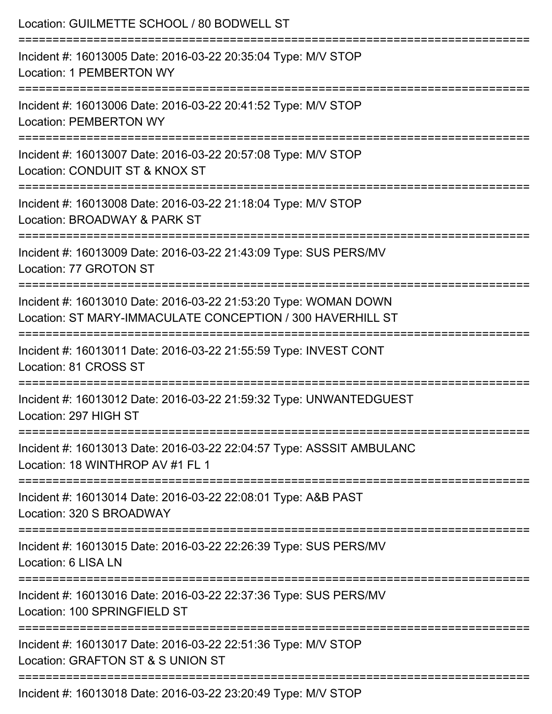| Location: GUILMETTE SCHOOL / 80 BODWELL ST                                                                                     |
|--------------------------------------------------------------------------------------------------------------------------------|
| Incident #: 16013005 Date: 2016-03-22 20:35:04 Type: M/V STOP<br><b>Location: 1 PEMBERTON WY</b>                               |
| Incident #: 16013006 Date: 2016-03-22 20:41:52 Type: M/V STOP<br><b>Location: PEMBERTON WY</b>                                 |
| Incident #: 16013007 Date: 2016-03-22 20:57:08 Type: M/V STOP<br>Location: CONDUIT ST & KNOX ST                                |
| :============================<br>Incident #: 16013008 Date: 2016-03-22 21:18:04 Type: M/V STOP<br>Location: BROADWAY & PARK ST |
| Incident #: 16013009 Date: 2016-03-22 21:43:09 Type: SUS PERS/MV<br>Location: 77 GROTON ST                                     |
| Incident #: 16013010 Date: 2016-03-22 21:53:20 Type: WOMAN DOWN<br>Location: ST MARY-IMMACULATE CONCEPTION / 300 HAVERHILL ST  |
| Incident #: 16013011 Date: 2016-03-22 21:55:59 Type: INVEST CONT<br>Location: 81 CROSS ST                                      |
| Incident #: 16013012 Date: 2016-03-22 21:59:32 Type: UNWANTEDGUEST<br>Location: 297 HIGH ST                                    |
| Incident #: 16013013 Date: 2016-03-22 22:04:57 Type: ASSSIT AMBULANC<br>Location: 18 WINTHROP AV #1 FL 1                       |
| Incident #: 16013014 Date: 2016-03-22 22:08:01 Type: A&B PAST<br>Location: 320 S BROADWAY                                      |
| ================================<br>Incident #: 16013015 Date: 2016-03-22 22:26:39 Type: SUS PERS/MV<br>Location: 6 LISA LN    |
| =====================<br>Incident #: 16013016 Date: 2016-03-22 22:37:36 Type: SUS PERS/MV<br>Location: 100 SPRINGFIELD ST      |
| Incident #: 16013017 Date: 2016-03-22 22:51:36 Type: M/V STOP<br>Location: GRAFTON ST & S UNION ST                             |
| Incident #: 16013018 Date: 2016-03-22 23:20:49 Type: M/V STOP                                                                  |